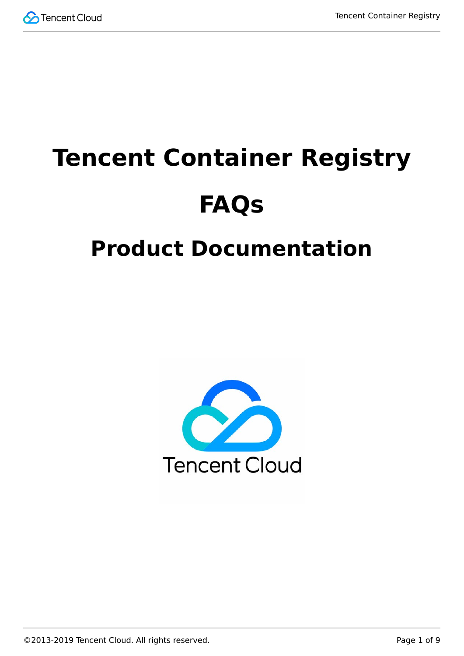

# **Tencent Container Registry FAQs**

# **Product Documentation**

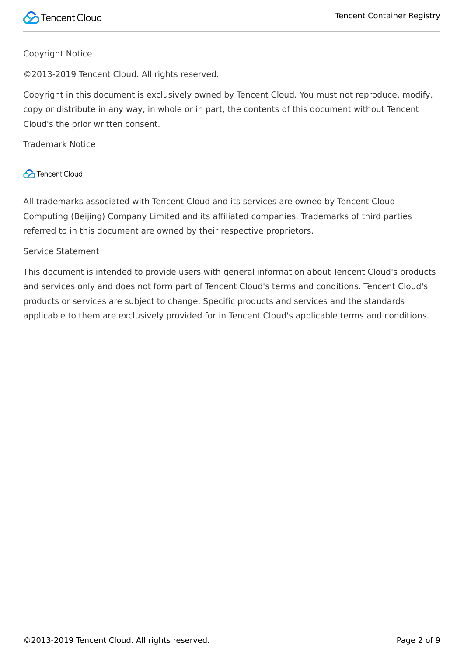#### Copyright Notice

©2013-2019 Tencent Cloud. All rights reserved.

Copyright in this document is exclusively owned by Tencent Cloud. You must not reproduce, modify, copy or distribute in any way, in whole or in part, the contents of this document without Tencent Cloud's the prior written consent.

Trademark Notice

## **C** Tencent Cloud

All trademarks associated with Tencent Cloud and its services are owned by Tencent Cloud Computing (Beijing) Company Limited and its affiliated companies. Trademarks of third parties referred to in this document are owned by their respective proprietors.

#### Service Statement

This document is intended to provide users with general information about Tencent Cloud's products and services only and does not form part of Tencent Cloud's terms and conditions. Tencent Cloud's products or services are subject to change. Specific products and services and the standards applicable to them are exclusively provided for in Tencent Cloud's applicable terms and conditions.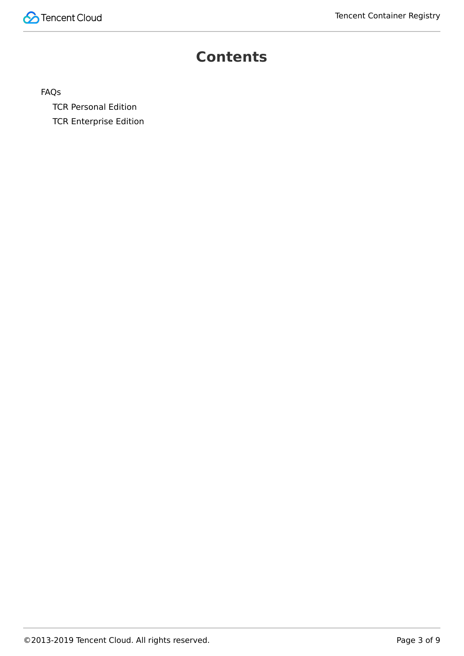## **Contents**

[FAQs](#page-3-0)

[TCR Personal Edition](#page-3-1) [TCR Enterprise Edition](#page-5-0)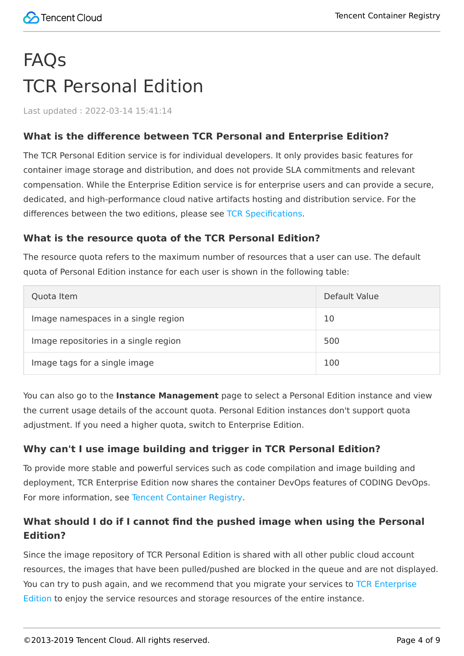# <span id="page-3-1"></span><span id="page-3-0"></span>FAQs TCR Personal Edition

Last updated:2022-03-14 15:41:14

## **What is the difference between TCR Personal and Enterprise Edition?**

The TCR Personal Edition service is for individual developers. It only provides basic features for container image storage and distribution, and does not provide SLA commitments and relevant compensation. While the Enterprise Edition service is for enterprise users and can provide a secure, dedicated, and high-performance cloud native artifacts hosting and distribution service. For the differences between the two editions, please see [TCR Specifications.](https://intl.cloud.tencent.com/document/product/1051/35480)

## **What is the resource quota of the TCR Personal Edition?**

The resource quota refers to the maximum number of resources that a user can use. The default quota of Personal Edition instance for each user is shown in the following table:

| Quota Item                            | Default Value |
|---------------------------------------|---------------|
| Image namespaces in a single region   | 10            |
| Image repositories in a single region | 500           |
| Image tags for a single image         | 100           |

You can also go to the **Instance Management** page to select a Personal Edition instance and view the current usage details of the account quota. Personal Edition instances don't support quota adjustment. If you need a higher quota, switch to Enterprise Edition.

## **Why can't I use image building and trigger in TCR Personal Edition?**

To provide more stable and powerful services such as code compilation and image building and deployment, TCR Enterprise Edition now shares the container DevOps features of CODING DevOps. For more information, see [Tencent Container Registry](https://intl.cloud.tencent.com/products/tcr).

## **What should I do if I cannot find the pushed image when using the Personal Edition?**

Since the image repository of TCR Personal Edition is shared with all other public cloud account resources, the images that have been pulled/pushed are blocked in the queue and are not displayed. [You can try to push again, and we recommend that you migrate your services to TCR Enterprise](https://intl.cloud.tencent.com/document/product/1051) Edition to enjoy the service resources and storage resources of the entire instance.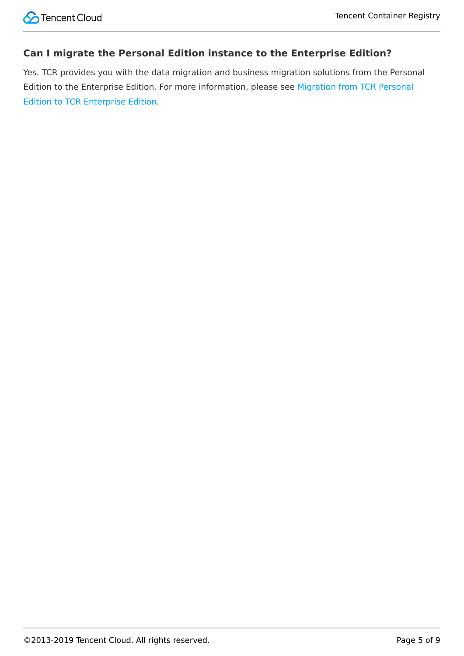## **Can I migrate the Personal Edition instance to the Enterprise Edition?**

Yes. TCR provides you with the data migration and business migration solutions from the Personal [Edition to the Enterprise Edition. For more information, please see Migration from TCR Personal](https://intl.cloud.tencent.com/document/product/1051/39844) Edition to TCR Enterprise Edition.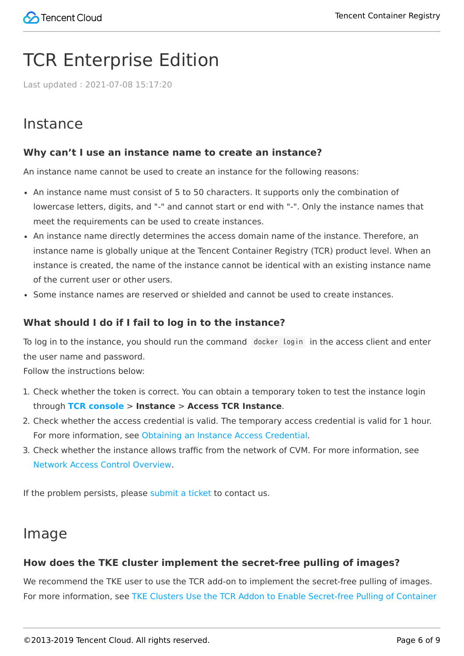## <span id="page-5-0"></span>TCR Enterprise Edition

Last updated:2021-07-08 15:17:20

## Instance

## **Why can't I use an instance name to create an instance?**

An instance name cannot be used to create an instance for the following reasons:

- An instance name must consist of 5 to 50 characters. It supports only the combination of lowercase letters, digits, and "-" and cannot start or end with "-". Only the instance names that meet the requirements can be used to create instances.
- An instance name directly determines the access domain name of the instance. Therefore, an instance name is globally unique at the Tencent Container Registry (TCR) product level. When an instance is created, the name of the instance cannot be identical with an existing instance name of the current user or other users.
- Some instance names are reserved or shielded and cannot be used to create instances.

## **What should I do if I fail to log in to the instance?**

To log in to the instance, you should run the command docker login in the access client and enter the user name and password.

Follow the instructions below:

- 1. Check whether the token is correct. You can obtain a temporary token to test the instance login through **[TCR console](https://console.cloud.tencent.com/tcr/instance)** > **Instance** > **Access TCR Instance**.
- 2. Check whether the access credential is valid. The temporary access credential is valid for 1 hour. For more information, see [Obtaining an Instance Access Credential.](https://intl.cloud.tencent.com/document/product/1051/37253)
- 3. Check whether the instance allows traffic from the network of CVM. For more information, see [Network Access Control Overview](https://intl.cloud.tencent.com/document/product/1051/35490).

If the problem persists, please [submit a ticket](https://console.cloud.tencent.com/workorder/category) to contact us.

## Image

## **How does the TKE cluster implement the secret-free pulling of images?**

We recommend the TKE user to use the TCR add-on to implement the secret-free pulling of images. [For more information, see TKE Clusters Use the TCR Addon to Enable Secret-free Pulling of Container](https://intl.cloud.tencent.com/document/product/1051/38386)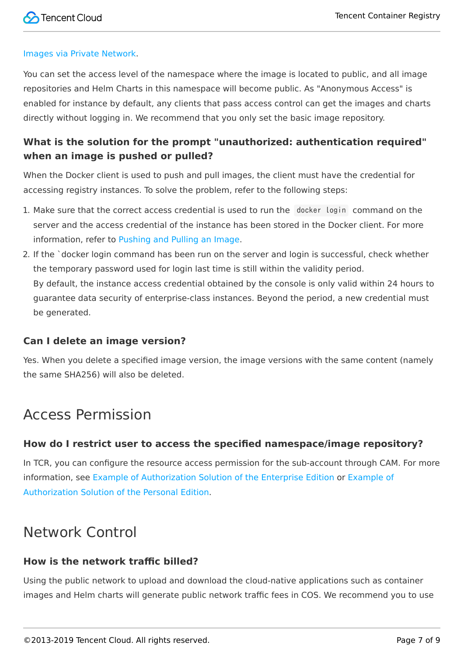

#### [Images via Private Network.](https://intl.cloud.tencent.com/document/product/1051/38386)

You can set the access level of the namespace where the image is located to public, and all image repositories and Helm Charts in this namespace will become public. As "Anonymous Access" is enabled for instance by default, any clients that pass access control can get the images and charts directly without logging in. We recommend that you only set the basic image repository.

## **What is the solution for the prompt "unauthorized: authentication required" when an image is pushed or pulled?**

When the Docker client is used to push and pull images, the client must have the credential for accessing registry instances. To solve the problem, refer to the following steps:

- 1. Make sure that the correct access credential is used to run the docker login command on the server and the access credential of the instance has been stored in the Docker client. For more information, refer to [Pushing and Pulling an Image.](https://intl.cloud.tencent.com/document/product/1051/35484)
- 2. If the `docker login command has been run on the server and login is successful, check whether the temporary password used for login last time is still within the validity period. By default, the instance access credential obtained by the console is only valid within 24 hours to guarantee data security of enterprise-class instances. Beyond the period, a new credential must be generated.

## **Can I delete an image version?**

Yes. When you delete a specified image version, the image versions with the same content (namely the same SHA256) will also be deleted.

## Access Permission

## **How do I restrict user to access the specified namespace/image repository?**

In TCR, you can configure the resource access permission for the sub-account through CAM. For more [information, see](https://intl.cloud.tencent.com/document/product/1051/37250) [Example of Authorization Solution of the Enterprise Edition](https://intl.cloud.tencent.com/document/product/1051/37248) [or Example of](https://intl.cloud.tencent.com/document/product/1051/37250) Authorization Solution of the Personal Edition.

## Network Control

## **How is the network traffic billed?**

Using the public network to upload and download the cloud-native applications such as container images and Helm charts will generate public network traffic fees in COS. We recommend you to use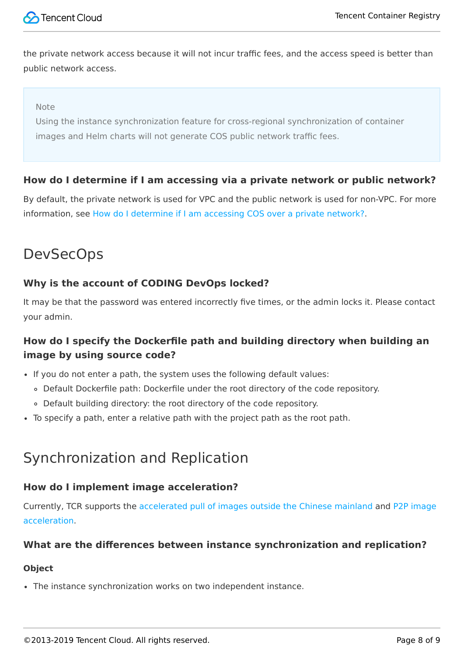

the private network access because it will not incur traffic fees, and the access speed is better than public network access.

#### Note

Using the instance synchronization feature for cross-regional synchronization of container images and Helm charts will not generate COS public network traffic fees.

## **How do I determine if I am accessing via a private network or public network?**

By default, the private network is used for VPC and the public network is used for non-VPC. For more information, see [How do I determine if I am accessing COS over a private network?.](https://intl.cloud.tencent.com/document/product/436/6281)

## DevSecOps

## **Why is the account of CODING DevOps locked?**

It may be that the password was entered incorrectly five times, or the admin locks it. Please contact your admin.

## **How do I specify the Dockerfile path and building directory when building an image by using source code?**

- If you do not enter a path, the system uses the following default values:
	- Default Dockerfile path: Dockerfile under the root directory of the code repository.
	- Default building directory: the root directory of the code repository.
- To specify a path, enter a relative path with the project path as the root path.

## Synchronization and Replication

## **How do I implement image acceleration?**

[Currently, TCR supports the a](https://intl.cloud.tencent.com/document/product/457/38708)[ccelerated pull of images outside the Chinese mainland](https://intl.cloud.tencent.com/document/product/457/39139) [and P2P image](https://intl.cloud.tencent.com/document/product/457/38708) acceleration.

## **What are the differences between instance synchronization and replication?**

#### **Object**

The instance synchronization works on two independent instance.